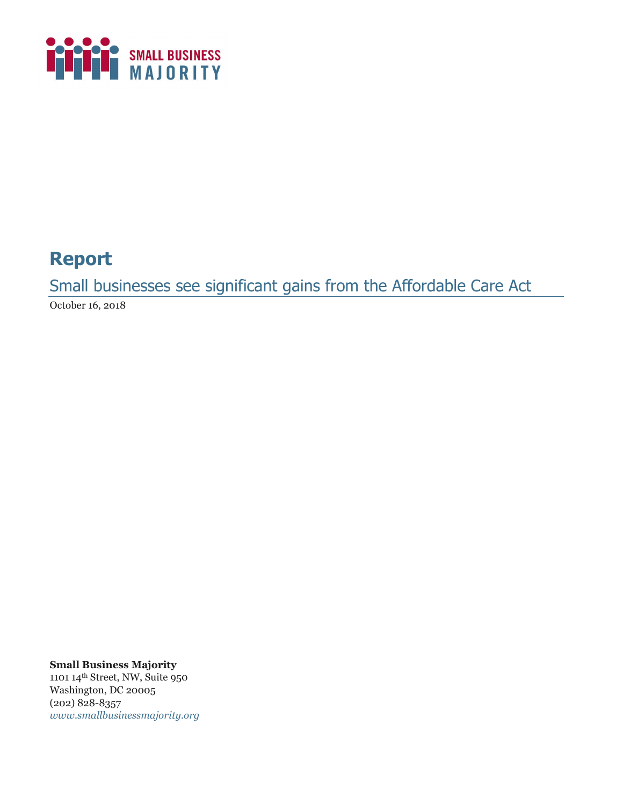

# **Report**

Small businesses see significant gains from the Affordable Care Act

October 16, 2018

**Small Business Majority**

1101 14th Street, NW, Suite 950 Washington, DC 20005 (202) 828-8357 *www.smallbusinessmajority.org*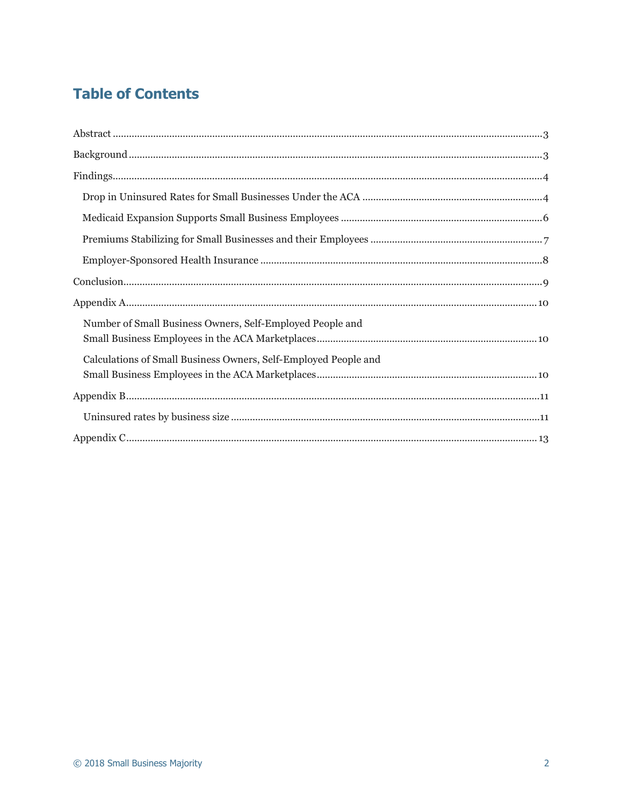# **Table of Contents**

| Number of Small Business Owners, Self-Employed People and       |
|-----------------------------------------------------------------|
| Calculations of Small Business Owners, Self-Employed People and |
|                                                                 |
|                                                                 |
|                                                                 |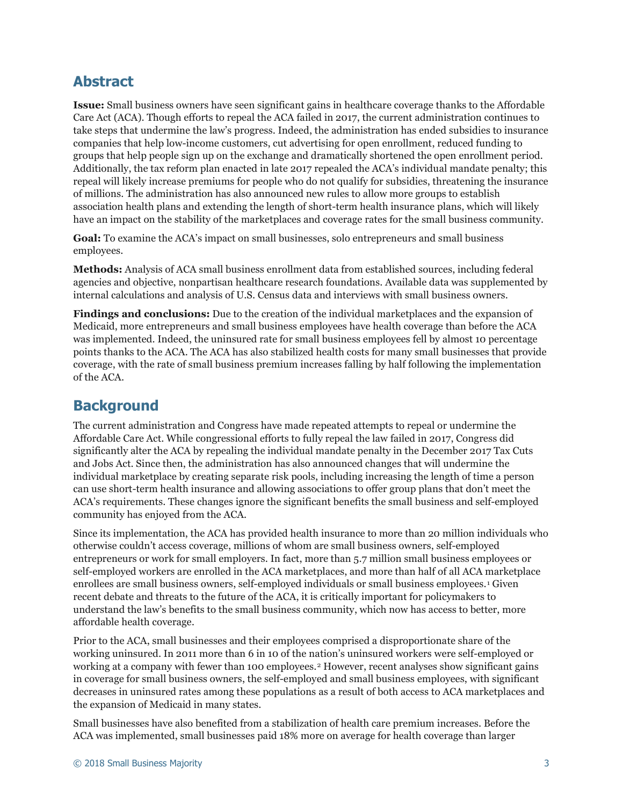## **Abstract**

**Issue:** Small business owners have seen significant gains in healthcare coverage thanks to the Affordable Care Act (ACA). Though efforts to repeal the ACA failed in 2017, the current administration continues to take steps that undermine the law's progress. Indeed, the administration has ended subsidies to insurance companies that help low-income customers, cut advertising for open enrollment, reduced funding to groups that help people sign up on the exchange and dramatically shortened the open enrollment period. Additionally, the tax reform plan enacted in late 2017 repealed the ACA's individual mandate penalty; this repeal will likely increase premiums for people who do not qualify for subsidies, threatening the insurance of millions. The administration has also announced new rules to allow more groups to establish association health plans and extending the length of short-term health insurance plans, which will likely have an impact on the stability of the marketplaces and coverage rates for the small business community.

**Goal:** To examine the ACA's impact on small businesses, solo entrepreneurs and small business employees.

**Methods:** Analysis of ACA small business enrollment data from established sources, including federal agencies and objective, nonpartisan healthcare research foundations. Available data was supplemented by internal calculations and analysis of U.S. Census data and interviews with small business owners.

**Findings and conclusions:** Due to the creation of the individual marketplaces and the expansion of Medicaid, more entrepreneurs and small business employees have health coverage than before the ACA was implemented. Indeed, the uninsured rate for small business employees fell by almost 10 percentage points thanks to the ACA. The ACA has also stabilized health costs for many small businesses that provide coverage, with the rate of small business premium increases falling by half following the implementation of the ACA.

## **Background**

The current administration and Congress have made repeated attempts to repeal or undermine the Affordable Care Act. While congressional efforts to fully repeal the law failed in 2017, Congress did significantly alter the ACA by repealing the individual mandate penalty in the December 2017 Tax Cuts and Jobs Act. Since then, the administration has also announced changes that will undermine the individual marketplace by creating separate risk pools, including increasing the length of time a person can use short-term health insurance and allowing associations to offer group plans that don't meet the ACA's requirements. These changes ignore the significant benefits the small business and self-employed community has enjoyed from the ACA.

Since its implementation, the ACA has provided health insurance to more than 20 million individuals who otherwise couldn't access coverage, millions of whom are small business owners, self-employed entrepreneurs or work for small employers. In fact, more than 5.7 million small business employees or self-employed workers are enrolled in the ACA marketplaces, and more than half of all ACA marketplace enrollees are small business owners, self-employed individuals or small business employees.[1](#page-6-0) Given recent debate and threats to the future of the ACA, it is critically important for policymakers to understand the law's benefits to the small business community, which now has access to better, more affordable health coverage*.*

Prior to the ACA, small businesses and their employees comprised a disproportionate share of the working uninsured. In 2011 more than 6 in 10 of the nation's uninsured workers were self-employed or working at a company with fewer than 100 employees.<sup>[2](#page-6-1)</sup> However, recent analyses show significant gains in coverage for small business owners, the self-employed and small business employees, with significant decreases in uninsured rates among these populations as a result of both access to ACA marketplaces and the expansion of Medicaid in many states.

Small businesses have also benefited from a stabilization of health care premium increases. Before the ACA was implemented, small businesses paid 18% more on average for health coverage than larger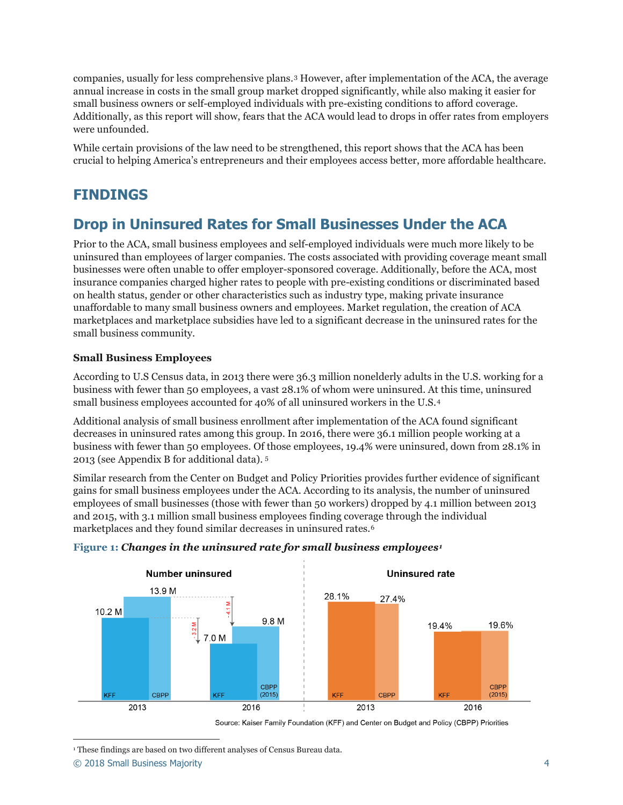companies, usually for less comprehensive plans.[3](#page-6-2) However, after implementation of the ACA, the average annual increase in costs in the small group market dropped significantly, while also making it easier for small business owners or self-employed individuals with pre-existing conditions to afford coverage. Additionally, as this report will show, fears that the ACA would lead to drops in offer rates from employers were unfounded.

While certain provisions of the law need to be strengthened, this report shows that the ACA has been crucial to helping America's entrepreneurs and their employees access better, more affordable healthcare.

## **FINDINGS**

### **Drop in Uninsured Rates for Small Businesses Under the ACA**

Prior to the ACA, small business employees and self-employed individuals were much more likely to be uninsured than employees of larger companies. The costs associated with providing coverage meant small businesses were often unable to offer employer-sponsored coverage. Additionally, before the ACA, most insurance companies charged higher rates to people with pre-existing conditions or discriminated based on health status, gender or other characteristics such as industry type, making private insurance unaffordable to many small business owners and employees. Market regulation, the creation of ACA marketplaces and marketplace subsidies have led to a significant decrease in the uninsured rates for the small business community.

### **Small Business Employees**

According to U.S Census data, in 2013 there were 36.3 million nonelderly adults in the U.S. working for a business with fewer than 50 employees, a vast 28.1% of whom were uninsured. At this time, uninsured small business employees accounted for 40% of all uninsured workers in the U.S.[4](#page-6-3)

Additional analysis of small business enrollment after implementation of the ACA found significant decreases in uninsured rates among this group. In 2016, there were 36.1 million people working at a business with fewer than 50 employees. Of those employees, 19.4% were uninsured, down from 28.1% in 2013 (see Appendix B for additional data). [5](#page-6-4)

Similar research from the Center on Budget and Policy Priorities provides further evidence of significant gains for small business employees under the ACA. According to its analysis, the number of uninsured employees of small businesses (those with fewer than 50 workers) dropped by 4.1 million between 2013 and 2015, with 3.1 million small business employees finding coverage through the individual marketplaces and they found similar decreases in uninsured rates.[6](#page-6-5)



#### **Figure 1:** *Changes in the uninsured rate for small business employees[1](#page-3-0)*

<span id="page-3-0"></span>-<sup>1</sup> These findings are based on two different analyses of Census Bureau data.

© 2018 Small Business Majority 4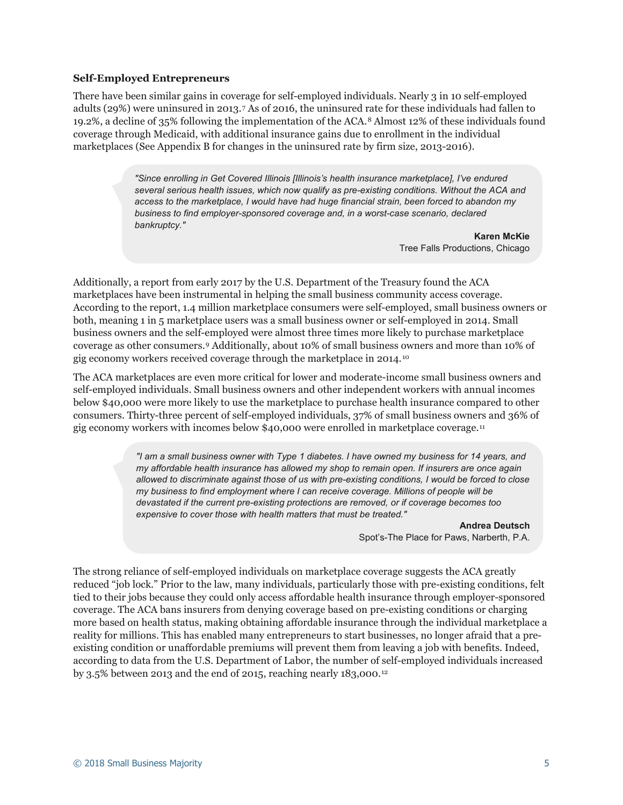#### **Self-Employed Entrepreneurs**

There have been similar gains in coverage for self-employed individuals. Nearly 3 in 10 self-employed adults (29%) were uninsured in 2013.[7](#page-6-6) As of 2016, the uninsured rate for these individuals had fallen to 19.2%, a decline of 35% following the implementation of the ACA.[8](#page-7-0) Almost 12% of these individuals found coverage through Medicaid, with additional insurance gains due to enrollment in the individual marketplaces (See Appendix B for changes in the uninsured rate by firm size, 2013-2016).

> *"Since enrolling in Get Covered Illinois [Illinois's health insurance marketplace], I've endured several serious health issues, which now qualify as pre-existing conditions. Without the ACA and access to the marketplace, I would have had huge financial strain, been forced to abandon my business to find employer-sponsored coverage and, in a worst-case scenario, declared bankruptcy."*

> > **Karen McKie** Tree Falls Productions, Chicago

Additionally, a report from early 2017 by the U.S. Department of the Treasury found the ACA marketplaces have been instrumental in helping the small business community access coverage. According to the report, 1.4 million marketplace consumers were self-employed, small business owners or both, meaning 1 in 5 marketplace users was a small business owner or self-employed in 2014. Small business owners and the self-employed were almost three times more likely to purchase marketplace coverage as other consumers.[9](#page-7-1) Additionally, about 10% of small business owners and more than 10% of gig economy workers received coverage through the marketplace in 2014.[10](#page-7-2)

The ACA marketplaces are even more critical for lower and moderate-income small business owners and self-employed individuals. Small business owners and other independent workers with annual incomes below \$40,000 were more likely to use the marketplace to purchase health insurance compared to other consumers. Thirty-three percent of self-employed individuals, 37% of small business owners and 36% of gig economy workers with incomes below \$40,000 were enrolled in marketplace coverage.[11](#page-7-3)

> *"I am a small business owner with Type 1 diabetes. I have owned my business for 14 years, and my affordable health insurance has allowed my shop to remain open. If insurers are once again allowed to discriminate against those of us with pre-existing conditions, I would be forced to close my business to find employment where I can receive coverage. Millions of people will be devastated if the current pre-existing protections are removed, or if coverage becomes too expensive to cover those with health matters that must be treated."*

> > **Andrea Deutsch** Spot's-The Place for Paws, Narberth, P.A.

The strong reliance of self-employed individuals on marketplace coverage suggests the ACA greatly reduced "job lock." Prior to the law, many individuals, particularly those with pre-existing conditions, felt tied to their jobs because they could only access affordable health insurance through employer-sponsored coverage. The ACA bans insurers from denying coverage based on pre-existing conditions or charging more based on health status, making obtaining affordable insurance through the individual marketplace a reality for millions. This has enabled many entrepreneurs to start businesses, no longer afraid that a preexisting condition or unaffordable premiums will prevent them from leaving a job with benefits. Indeed, according to data from the U.S. Department of Labor, the number of self-employed individuals increased by 3.5% between 2013 and the end of 2015, reaching nearly  $183,000$ .<sup>[12](#page-7-4)</sup>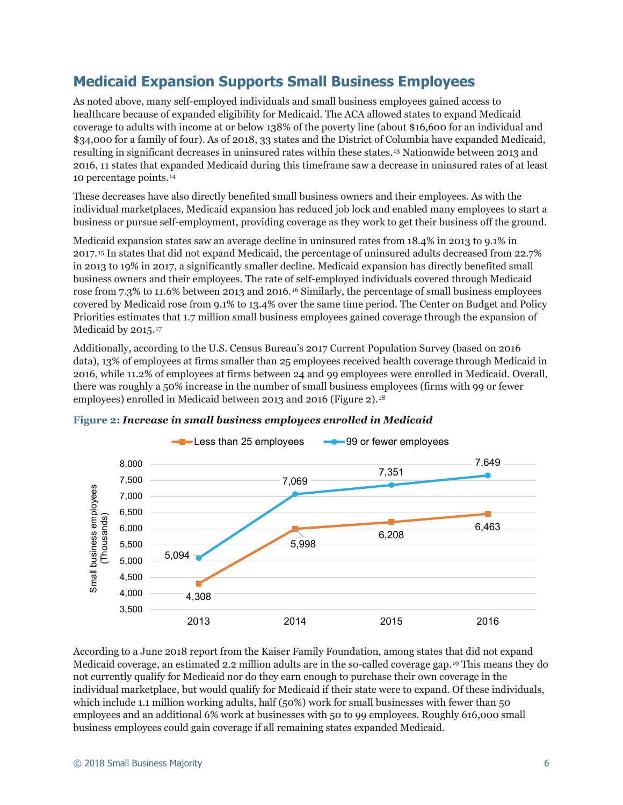### **Medicaid Expansion Supports Small Business Employees**

As noted above, many self-employed individuals and small business employees gained access to healthcare because of expanded eligibility for Medicaid. The ACA allowed states to expand Medicaid coverage to adults with income at or below 138% of the poverty line (about \$16,600 for an individual and \$34,000 for a family of four). As of 2018, 33 states and the District of Columbia have expanded Medicaid, resulting in significant decreases in uninsured rates within these states.[13](#page-7-5) Nationwide between 2013 and 2016, 11 states that expanded Medicaid during this timeframe saw a decrease in uninsured rates of at least 10 percentage points.[14](#page-7-6)

These decreases have also directly benefited small business owners and their employees. As with the individual marketplaces, Medicaid expansion has reduced job lock and enabled many employees to start a business or pursue self-employment, providing coverage as they work to get their business off the ground.

Medicaid expansion states saw an average decline in uninsured rates from 18.4% in 2013 to 9.1% in 2017.[15](#page-7-7) In states that did not expand Medicaid, the percentage of uninsured adults decreased from 22.7% in 2013 to 19% in 2017, a significantly smaller decline. Medicaid expansion has directly benefited small business owners and their employees. The rate of self-employed individuals covered through Medicaid rose from 7.3% to 11.6% between 2013 and 2016.[16](#page-7-8) Similarly, the percentage of small business employees covered by Medicaid rose from 9.1% to 13.4% over the same time period. The Center on Budget and Policy Priorities estimates that 1.7 million small business employees gained coverage through the expansion of Medicaid by 2015.<sup>[17](#page-7-9)</sup>

Additionally, according to the U.S. Census Bureau's 2017 Current Population Survey (based on 2016 data), 13% of employees at firms smaller than 25 employees received health coverage through Medicaid in 2016, while 11.2% of employees at firms between 24 and 99 employees were enrolled in Medicaid. Overall, there was roughly a 50% increase in the number of small business employees (firms with 99 or fewer employees) enrolled in Medicaid between 2013 and 2016 (Figure 2).<sup>[18](#page-7-10)</sup>



#### **Figure 2:** *Increase in small business employees enrolled in Medicaid*

According to a June 2018 report from the Kaiser Family Foundation, among states that did not expand Medicaid coverage, an estimated 2.2 million adults are in the so-called coverage gap.[19](#page-7-11) This means they do not currently qualify for Medicaid nor do they earn enough to purchase their own coverage in the individual marketplace, but would qualify for Medicaid if their state were to expand. Of these individuals, which include 1.1 million working adults, half (50%) work for small businesses with fewer than 50 employees and an additional 6% work at businesses with 50 to 99 employees. Roughly 616,000 small business employees could gain coverage if all remaining states expanded Medicaid.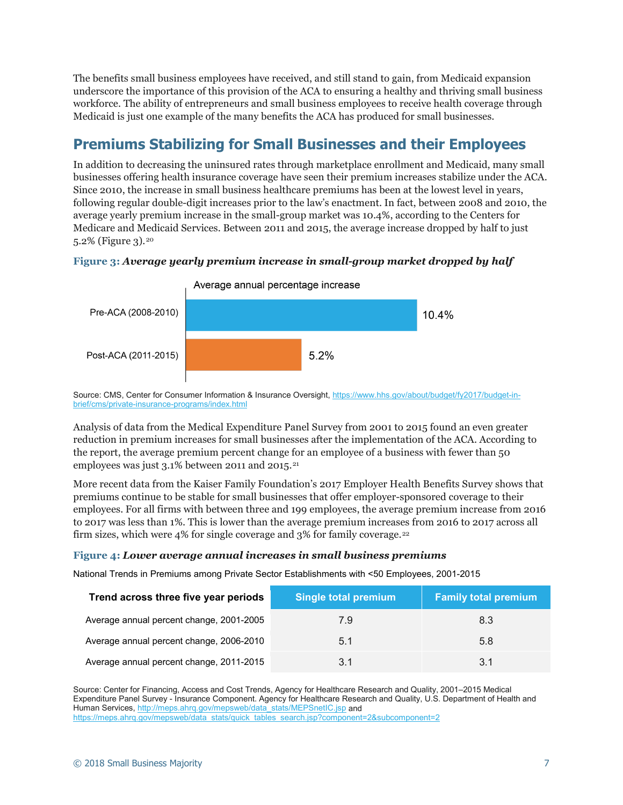The benefits small business employees have received, and still stand to gain, from Medicaid expansion underscore the importance of this provision of the ACA to ensuring a healthy and thriving small business workforce. The ability of entrepreneurs and small business employees to receive health coverage through Medicaid is just one example of the many benefits the ACA has produced for small businesses.

# **Premiums Stabilizing for Small Businesses and their Employees**

In addition to decreasing the uninsured rates through marketplace enrollment and Medicaid, many small businesses offering health insurance coverage have seen their premium increases stabilize under the ACA. Since 2010, the increase in small business healthcare premiums has been at the lowest level in years, following regular double-digit increases prior to the law's enactment. In fact, between 2008 and 2010, the average yearly premium increase in the small-group market was 10.4%, according to the Centers for Medicare and Medicaid Services. Between 2011 and 2015, the average increase dropped by half to just 5.2% (Figure 3).[20](#page-7-12)



#### **Figure 3:** *Average yearly premium increase in small-group market dropped by half*

Source: CMS, Center for Consumer Information & Insurance Oversight, [https://www.hhs.gov/about/budget/fy2017/budget-in](https://www.hhs.gov/about/budget/fy2017/budget-in-brief/cms/private-insurance-programs/index.html)[brief/cms/private-insurance-programs/index.html](https://www.hhs.gov/about/budget/fy2017/budget-in-brief/cms/private-insurance-programs/index.html)

Analysis of data from the Medical Expenditure Panel Survey from 2001 to 2015 found an even greater reduction in premium increases for small businesses after the implementation of the ACA. According to the report, the average premium percent change for an employee of a business with fewer than 50 employees was just 3.1% between 2011 and 2015.<sup>[21](#page-7-13)</sup>

More recent data from the Kaiser Family Foundation's 2017 Employer Health Benefits Survey shows that premiums continue to be stable for small businesses that offer employer-sponsored coverage to their employees. For all firms with between three and 199 employees, the average premium increase from 2016 to 2017 was less than 1%. This is lower than the average premium increases from 2016 to 2017 across all firm sizes, which were 4% for single coverage and 3% for family coverage.<sup>[22](#page-7-14)</sup>

#### **Figure 4:** *Lower average annual increases in small business premiums*

<span id="page-6-2"></span><span id="page-6-1"></span><span id="page-6-0"></span>National Trends in Premiums among Private Sector Establishments with <50 Employees, 2001-2015

| Trend across three five year periods     | <b>Single total premium</b> | <b>Family total premium</b> |
|------------------------------------------|-----------------------------|-----------------------------|
| Average annual percent change, 2001-2005 | 7.9                         | 8.3                         |
| Average annual percent change, 2006-2010 | 5.1                         | 5.8                         |
| Average annual percent change, 2011-2015 | 3.1                         | 3.1                         |

<span id="page-6-6"></span><span id="page-6-5"></span><span id="page-6-4"></span><span id="page-6-3"></span>Source: Center for Financing, Access and Cost Trends, Agency for Healthcare Research and Quality, 2001–2015 Medical Expenditure Panel Survey - Insurance Component. Agency for Healthcare Research and Quality, U.S. Department of Health and Human Services[, http://meps.ahrq.gov/mepsweb/data\\_stats/MEPSnetIC.jsp](http://meps.ahrq.gov/mepsweb/data_stats/MEPSnetIC.jsp) and [https://meps.ahrq.gov/mepsweb/data\\_stats/quick\\_tables\\_search.jsp?component=2&subcomponent=2](https://meps.ahrq.gov/mepsweb/data_stats/quick_tables_search.jsp?component=2&subcomponent=2)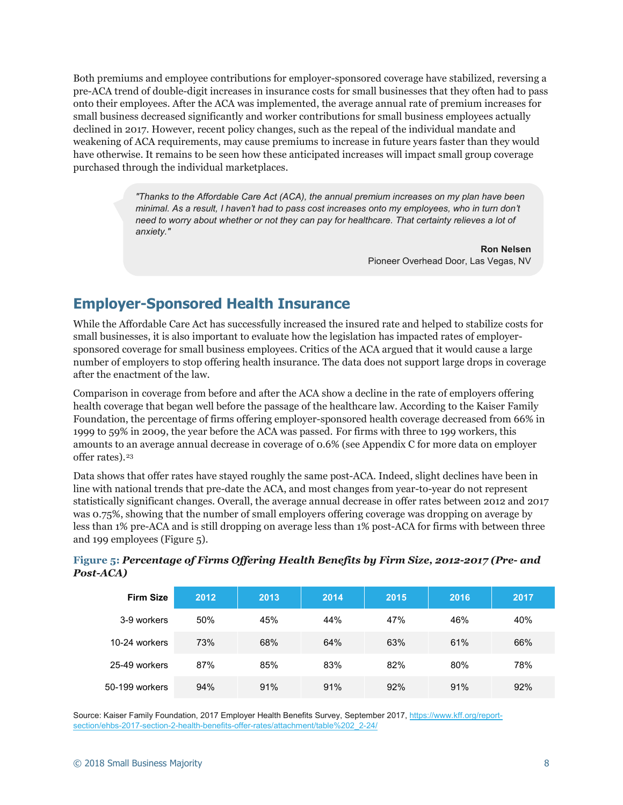<span id="page-7-4"></span><span id="page-7-3"></span><span id="page-7-2"></span><span id="page-7-1"></span><span id="page-7-0"></span>Both premiums and employee contributions for employer-sponsored coverage have stabilized, reversing a pre-ACA trend of double-digit increases in insurance costs for small businesses that they often had to pass onto their employees. After the ACA was implemented, the average annual rate of premium increases for small business decreased significantly and worker contributions for small business employees actually declined in 2017. However, recent policy changes, such as the repeal of the individual mandate and weakening of ACA requirements, may cause premiums to increase in future years faster than they would have otherwise. It remains to be seen how these anticipated increases will impact small group coverage purchased through the individual marketplaces.

> *"Thanks to the Affordable Care Act (ACA), the annual premium increases on my plan have been minimal. As a result, I haven't had to pass cost increases onto my employees, who in turn don't need to worry about whether or not they can pay for healthcare. That certainty relieves a lot of anxiety."*

> > **Ron Nelsen** Pioneer Overhead Door, Las Vegas, NV

### <span id="page-7-8"></span><span id="page-7-7"></span><span id="page-7-6"></span><span id="page-7-5"></span>**Employer-Sponsored Health Insurance**

<span id="page-7-10"></span><span id="page-7-9"></span>While the Affordable Care Act has successfully increased the insured rate and helped to stabilize costs for small businesses, it is also important to evaluate how the legislation has impacted rates of employersponsored coverage for small business employees. Critics of the ACA argued that it would cause a large number of employers to stop offering health insurance. The data does not support large drops in coverage after the enactment of the law.

<span id="page-7-12"></span><span id="page-7-11"></span>Comparison in coverage from before and after the ACA show a decline in the rate of employers offering health coverage that began well before the passage of the healthcare law. According to the Kaiser Family Foundation, the percentage of firms offering employer-sponsored health coverage decreased from 66% in 1999 to 59% in 2009, the year before the ACA was passed. For firms with three to 199 workers, this amounts to an average annual decrease in coverage of 0.6% (see Appendix C for more data on employer offer rates).[23](#page-7-15)

<span id="page-7-15"></span><span id="page-7-14"></span><span id="page-7-13"></span>Data shows that offer rates have stayed roughly the same post-ACA. Indeed, slight declines have been in line with national trends that pre-date the ACA, and most changes from year-to-year do not represent statistically significant changes. Overall, the average annual decrease in offer rates between 2012 and 2017 was 0.75%, showing that the number of small employers offering coverage was dropping on average by less than 1% pre-ACA and is still dropping on average less than 1% post-ACA for firms with between three and 199 employees (Figure 5).

| <b>Firm Size</b> | 2012 | 2013 | 2014 | 2015 | 2016 | 2017 |
|------------------|------|------|------|------|------|------|
| 3-9 workers      | 50%  | 45%  | 44%  | 47%  | 46%  | 40%  |
| 10-24 workers    | 73%  | 68%  | 64%  | 63%  | 61%  | 66%  |
| 25-49 workers    | 87%  | 85%  | 83%  | 82%  | 80%  | 78%  |
| 50-199 workers   | 94%  | 91%  | 91%  | 92%  | 91%  | 92%  |

**Figure 5:** *Percentage of Firms Offering Health Benefits by Firm Size, 2012-2017 (Pre- and Post-ACA)*

Source: Kaiser Family Foundation, 2017 Employer Health Benefits Survey, September 2017[, https://www.kff.org/report](https://www.kff.org/report-section/ehbs-2017-section-2-health-benefits-offer-rates/attachment/table%202_2-24/)[section/ehbs-2017-section-2-health-benefits-offer-rates/attachment/table%202\\_2-24/](https://www.kff.org/report-section/ehbs-2017-section-2-health-benefits-offer-rates/attachment/table%202_2-24/)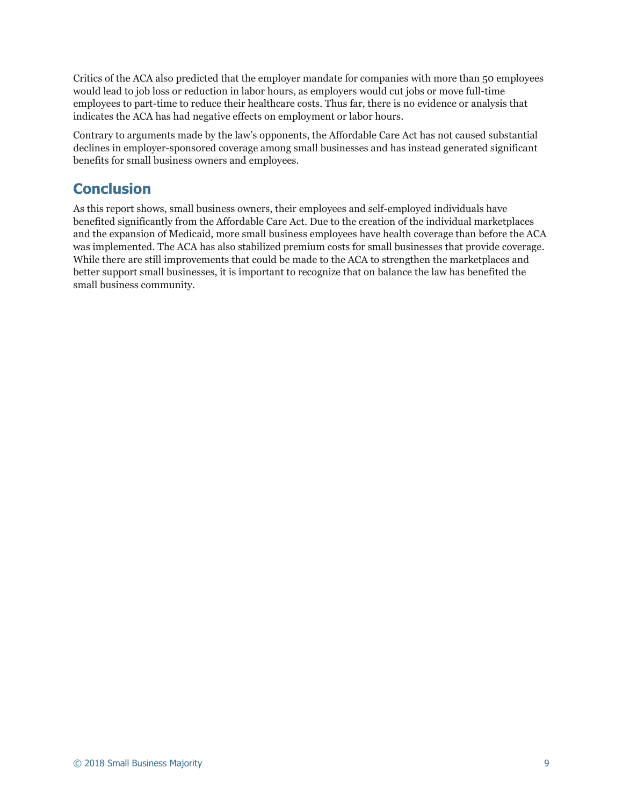Critics of the ACA also predicted that the employer mandate for companies with more than 50 employees would lead to job loss or reduction in labor hours, as employers would cut jobs or move full-time employees to part-time to reduce their healthcare costs. Thus far, there is no evidence or analysis that indicates the ACA has had negative effects on employment or labor hours.

Contrary to arguments made by the law's opponents, the Affordable Care Act has not caused substantial declines in employer-sponsored coverage among small businesses and has instead generated significant benefits for small business owners and employees.

# **Conclusion**

As this report shows, small business owners, their employees and self-employed individuals have benefited significantly from the Affordable Care Act. Due to the creation of the individual marketplaces and the expansion of Medicaid, more small business employees have health coverage than before the ACA was implemented. The ACA has also stabilized premium costs for small businesses that provide coverage. While there are still improvements that could be made to the ACA to strengthen the marketplaces and better support small businesses, it is important to recognize that on balance the law has benefited the small business community.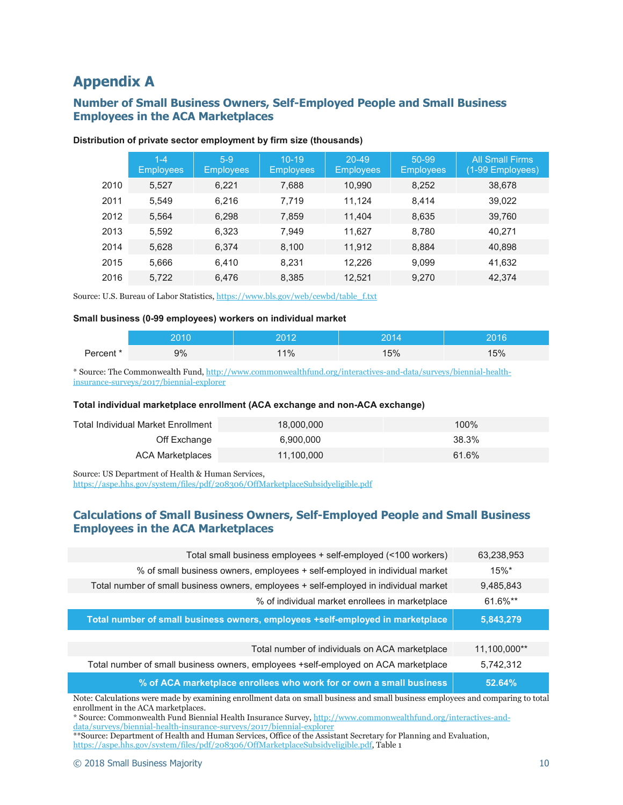# **Appendix A**

### **Number of Small Business Owners, Self-Employed People and Small Business Employees in the ACA Marketplaces**

| $1 - 4$<br><b>Employees</b> | $5-9$<br><b>Employees</b> | $10 - 19$<br><b>Employees</b> | $20 - 49$<br><b>Employees</b> | 50-99<br><b>Employees</b> | <b>All Small Firms</b><br>(1-99 Employees) |
|-----------------------------|---------------------------|-------------------------------|-------------------------------|---------------------------|--------------------------------------------|
| 5,527                       | 6,221                     | 7,688                         | 10,990                        | 8,252                     | 38,678                                     |
| 5,549                       | 6.216                     | 7,719                         | 11.124                        | 8,414                     | 39,022                                     |
| 5,564                       | 6.298                     | 7,859                         | 11.404                        | 8,635                     | 39,760                                     |
| 5,592                       | 6.323                     | 7,949                         | 11.627                        | 8,780                     | 40.271                                     |
| 5,628                       | 6,374                     | 8,100                         | 11,912                        | 8,884                     | 40,898                                     |
| 5,666                       | 6,410                     | 8,231                         | 12,226                        | 9,099                     | 41,632                                     |
| 5,722                       | 6,476                     | 8,385                         | 12,521                        | 9,270                     | 42,374                                     |
|                             |                           |                               |                               |                           |                                            |

#### **Distribution of private sector employment by firm size (thousands)**

Source: U.S. Bureau of Labor Statistics, [https://www.bls.gov/web/cewbd/table\\_f.txt](https://www.bls.gov/web/cewbd/table_f.txt)

#### **Small business (0-99 employees) workers on individual market**

|           | ∩ ו∩כ | 2012 | <b>DO4</b> | วกาศ |
|-----------|-------|------|------------|------|
| Percent * | 9%    | 11%  | 15%        | 15%  |

\* Source: The Commonwealth Fund[, http://www.commonwealthfund.org/interactives-and-data/surveys/biennial-health](http://www.commonwealthfund.org/interactives-and-data/surveys/biennial-health-insurance-surveys/2017/biennial-explorer)[insurance-surveys/2017/biennial-explorer](http://www.commonwealthfund.org/interactives-and-data/surveys/biennial-health-insurance-surveys/2017/biennial-explorer)

#### **Total individual marketplace enrollment (ACA exchange and non-ACA exchange)**

| Total Individual Market Enrollment | 18.000.000 | 100%  |
|------------------------------------|------------|-------|
| Off Exchange                       | 6.900.000  | 38.3% |
| ACA Marketplaces                   | 11,100,000 | 61.6% |

Source: US Department of Health & Human Services,

<https://aspe.hhs.gov/system/files/pdf/208306/OffMarketplaceSubsidyeligible.pdf>

### **Calculations of Small Business Owners, Self-Employed People and Small Business Employees in the ACA Marketplaces**

| Total small business employees + self-employed (<100 workers)                         | 63,238,953          |
|---------------------------------------------------------------------------------------|---------------------|
|                                                                                       |                     |
| % of small business owners, employees + self-employed in individual market            | $15\%$ <sup>*</sup> |
| Total number of small business owners, employees + self-employed in individual market | 9,485,843           |
| % of individual market enrollees in marketplace                                       | 61.6%**             |
| Total number of small business owners, employees +self-employed in marketplace        | 5,843,279           |
|                                                                                       |                     |
| Total number of individuals on ACA marketplace                                        | 11,100,000**        |
| Total number of small business owners, employees +self-employed on ACA marketplace    | 5,742,312           |
| % of ACA marketplace enrollees who work for or own a small business                   | 52.64%              |

Note: Calculations were made by examining enrollment data on small business and small business employees and comparing to total enrollment in the ACA marketplaces.

\*\*Source: Department of Health and Human Services, Office of the Assistant Secretary for Planning and Evaluation, [https://aspe.hhs.gov/system/files/pdf/208306/OffMarketplaceSubsidyeligible.pdf,](https://aspe.hhs.gov/system/files/pdf/208306/OffMarketplaceSubsidyeligible.pdf) Table 1

<sup>\*</sup> Source: Commonwealth Fund Biennial Health Insurance Survey[, http://www.commonwealthfund.org/interactives-and](http://www.commonwealthfund.org/interactives-and-data/surveys/biennial-health-insurance-surveys/2017/biennial-explorer)[data/surveys/biennial-health-insurance-surveys/2017/biennial-explorer](http://www.commonwealthfund.org/interactives-and-data/surveys/biennial-health-insurance-surveys/2017/biennial-explorer)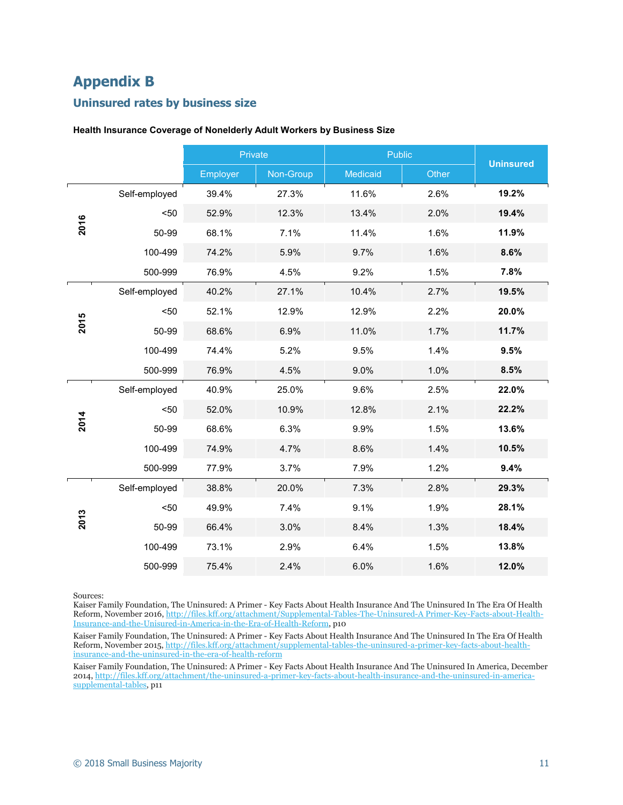# **Appendix B**

#### **Uninsured rates by business size**

|      |               | Private  |           | Public   |       |                  |
|------|---------------|----------|-----------|----------|-------|------------------|
|      |               | Employer | Non-Group | Medicaid | Other | <b>Uninsured</b> |
|      | Self-employed | 39.4%    | 27.3%     | 11.6%    | 2.6%  | 19.2%            |
|      | $50$          | 52.9%    | 12.3%     | 13.4%    | 2.0%  | 19.4%            |
| 2016 | 50-99         | 68.1%    | 7.1%      | 11.4%    | 1.6%  | 11.9%            |
|      | 100-499       | 74.2%    | 5.9%      | 9.7%     | 1.6%  | 8.6%             |
|      | 500-999       | 76.9%    | 4.5%      | 9.2%     | 1.5%  | 7.8%             |
|      | Self-employed | 40.2%    | 27.1%     | 10.4%    | 2.7%  | 19.5%            |
|      | $50$          | 52.1%    | 12.9%     | 12.9%    | 2.2%  | 20.0%            |
| 2015 | 50-99         | 68.6%    | 6.9%      | 11.0%    | 1.7%  | 11.7%            |
|      | 100-499       | 74.4%    | 5.2%      | 9.5%     | 1.4%  | 9.5%             |
|      | 500-999       | 76.9%    | 4.5%      | 9.0%     | 1.0%  | 8.5%             |
|      | Self-employed | 40.9%    | 25.0%     | 9.6%     | 2.5%  | 22.0%            |
|      | $50$          | 52.0%    | 10.9%     | 12.8%    | 2.1%  | 22.2%            |
| 2014 | 50-99         | 68.6%    | 6.3%      | 9.9%     | 1.5%  | 13.6%            |
|      | 100-499       | 74.9%    | 4.7%      | 8.6%     | 1.4%  | 10.5%            |
|      | 500-999       | 77.9%    | 3.7%      | 7.9%     | 1.2%  | 9.4%             |
|      | Self-employed | 38.8%    | 20.0%     | 7.3%     | 2.8%  | 29.3%            |
|      | $50$          | 49.9%    | 7.4%      | 9.1%     | 1.9%  | 28.1%            |
| 2013 | 50-99         | 66.4%    | 3.0%      | 8.4%     | 1.3%  | 18.4%            |
|      | 100-499       | 73.1%    | 2.9%      | 6.4%     | 1.5%  | 13.8%            |
|      | 500-999       | 75.4%    | 2.4%      | 6.0%     | 1.6%  | 12.0%            |

#### **Health Insurance Coverage of Nonelderly Adult Workers by Business Size**

Sources:

Kaiser Family Foundation, The Uninsured: A Primer - Key Facts About Health Insurance And The Uninsured In The Era Of Health Reform, November 2016[, http://files.kff.org/attachment/Supplemental-Tables-The-Uninsured-A Primer-Key-Facts-about-Health-](http://files.kff.org/attachment/Supplemental-Tables-The-Uninsured-A%20Primer-Key-Facts-about-Health-Insurance-and-the-Unisured-in-America-in-the-Era-of-Health-Reform)[Insurance-and-the-Unisured-in-America-in-the-Era-of-Health-Reform,](http://files.kff.org/attachment/Supplemental-Tables-The-Uninsured-A%20Primer-Key-Facts-about-Health-Insurance-and-the-Unisured-in-America-in-the-Era-of-Health-Reform) p10

Kaiser Family Foundation, The Uninsured: A Primer - Key Facts About Health Insurance And The Uninsured In The Era Of Health Reform, November 2015, [http://files.kff.org/attachment/supplemental-tables-the-uninsured-a-primer-key-facts-about-health](http://files.kff.org/attachment/supplemental-tables-the-uninsured-a-primer-key-facts-about-health-insurance-and-the-uninsured-in-the-era-of-health-reform)[insurance-and-the-uninsured-in-the-era-of-health-reform](http://files.kff.org/attachment/supplemental-tables-the-uninsured-a-primer-key-facts-about-health-insurance-and-the-uninsured-in-the-era-of-health-reform)

Kaiser Family Foundation, The Uninsured: A Primer - Key Facts About Health Insurance And The Uninsured In America, December 2014[, http://files.kff.org/attachment/the-uninsured-a-primer-key-facts-about-health-insurance-and-the-uninsured-in-america](http://files.kff.org/attachment/the-uninsured-a-primer-key-facts-about-health-insurance-and-the-uninsured-in-america-supplemental-tables)[supplemental-tables,](http://files.kff.org/attachment/the-uninsured-a-primer-key-facts-about-health-insurance-and-the-uninsured-in-america-supplemental-tables) p11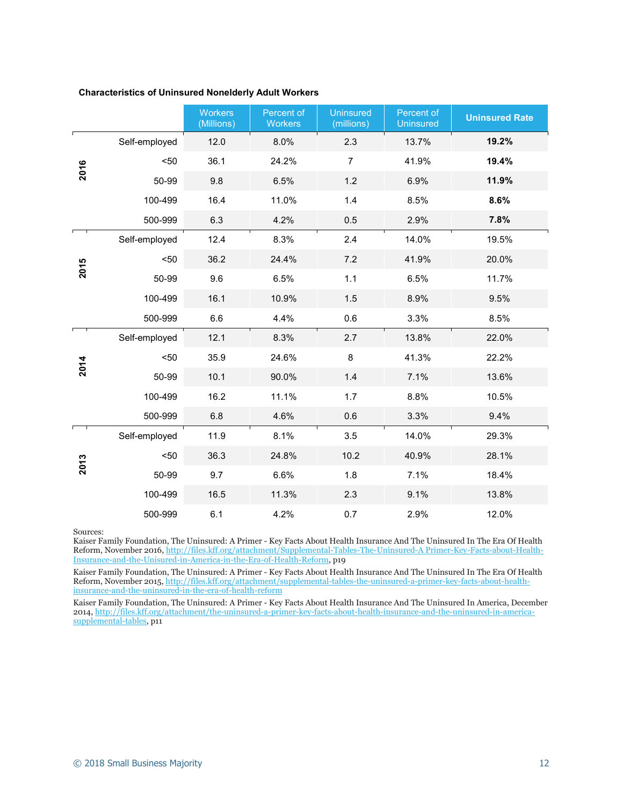| <b>Characteristics of Uninsured Nonelderly Adult Workers</b> |  |
|--------------------------------------------------------------|--|
|--------------------------------------------------------------|--|

|      |               | <b>Workers</b><br>(Millions) | Percent of<br><b>Workers</b> | <b>Uninsured</b><br>(millions) | Percent of<br><b>Uninsured</b> | <b>Uninsured Rate</b> |
|------|---------------|------------------------------|------------------------------|--------------------------------|--------------------------------|-----------------------|
|      | Self-employed | 12.0                         | 8.0%                         | 2.3                            | 13.7%                          | 19.2%                 |
| 2016 | $50$          | 36.1                         | 24.2%                        | $\overline{7}$                 | 41.9%                          | 19.4%                 |
|      | 50-99         | 9.8                          | 6.5%                         | 1.2                            | 6.9%                           | 11.9%                 |
|      | 100-499       | 16.4                         | 11.0%                        | 1.4                            | 8.5%                           | 8.6%                  |
|      | 500-999       | 6.3                          | 4.2%                         | 0.5                            | 2.9%                           | 7.8%                  |
|      | Self-employed | 12.4                         | 8.3%                         | 2.4                            | 14.0%                          | 19.5%                 |
| 2015 | $50$          | 36.2                         | 24.4%                        | 7.2                            | 41.9%                          | 20.0%                 |
|      | 50-99         | 9.6                          | 6.5%                         | 1.1                            | 6.5%                           | 11.7%                 |
|      | 100-499       | 16.1                         | 10.9%                        | 1.5                            | 8.9%                           | 9.5%                  |
|      | 500-999       | 6.6                          | 4.4%                         | 0.6                            | 3.3%                           | 8.5%                  |
|      | Self-employed | 12.1                         | 8.3%                         | 2.7                            | 13.8%                          | 22.0%                 |
| 2014 | $50$          | 35.9                         | 24.6%                        | $\bf 8$                        | 41.3%                          | 22.2%                 |
|      | 50-99         | 10.1                         | 90.0%                        | 1.4                            | 7.1%                           | 13.6%                 |
|      | 100-499       | 16.2                         | 11.1%                        | 1.7                            | 8.8%                           | 10.5%                 |
|      | 500-999       | 6.8                          | 4.6%                         | 0.6                            | 3.3%                           | 9.4%                  |
|      | Self-employed | 11.9                         | 8.1%                         | 3.5                            | 14.0%                          | 29.3%                 |
| 2013 | $50$          | 36.3                         | 24.8%                        | 10.2                           | 40.9%                          | 28.1%                 |
|      | 50-99         | 9.7                          | 6.6%                         | 1.8                            | 7.1%                           | 18.4%                 |
|      | 100-499       | 16.5                         | 11.3%                        | 2.3                            | 9.1%                           | 13.8%                 |
|      | 500-999       | 6.1                          | 4.2%                         | 0.7                            | 2.9%                           | 12.0%                 |

Sources:

Kaiser Family Foundation, The Uninsured: A Primer - Key Facts About Health Insurance And The Uninsured In The Era Of Health Reform, November 2016[, http://files.kff.org/attachment/Supplemental-Tables-The-Uninsured-A Primer-Key-Facts-about-Health-](http://files.kff.org/attachment/Supplemental-Tables-The-Uninsured-A%20Primer-Key-Facts-about-Health-Insurance-and-the-Unisured-in-America-in-the-Era-of-Health-Reform)[Insurance-and-the-Unisured-in-America-in-the-Era-of-Health-Reform,](http://files.kff.org/attachment/Supplemental-Tables-The-Uninsured-A%20Primer-Key-Facts-about-Health-Insurance-and-the-Unisured-in-America-in-the-Era-of-Health-Reform) p19

Kaiser Family Foundation, The Uninsured: A Primer - Key Facts About Health Insurance And The Uninsured In The Era Of Health Reform, November 2015, [http://files.kff.org/attachment/supplemental-tables-the-uninsured-a-primer-key-facts-about-health](http://files.kff.org/attachment/supplemental-tables-the-uninsured-a-primer-key-facts-about-health-insurance-and-the-uninsured-in-the-era-of-health-reform)[insurance-and-the-uninsured-in-the-era-of-health-reform](http://files.kff.org/attachment/supplemental-tables-the-uninsured-a-primer-key-facts-about-health-insurance-and-the-uninsured-in-the-era-of-health-reform)

Kaiser Family Foundation, The Uninsured: A Primer - Key Facts About Health Insurance And The Uninsured In America, December 2014[, http://files.kff.org/attachment/the-uninsured-a-primer-key-facts-about-health-insurance-and-the-uninsured-in-america](http://files.kff.org/attachment/the-uninsured-a-primer-key-facts-about-health-insurance-and-the-uninsured-in-america-supplemental-tables)[supplemental-tables,](http://files.kff.org/attachment/the-uninsured-a-primer-key-facts-about-health-insurance-and-the-uninsured-in-america-supplemental-tables) p11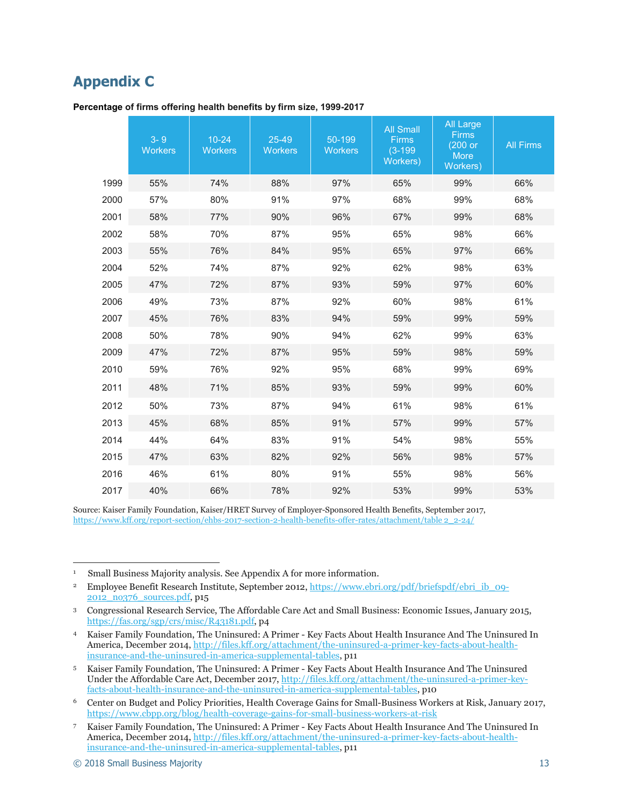# **Appendix C**

|      | $3 - 9$<br><b>Workers</b> | $10 - 24$<br><b>Workers</b> | 25-49<br><b>Workers</b> | 50-199<br><b>Workers</b> | <b>All Small</b><br><b>Firms</b><br>$(3-199)$<br>Workers) | <b>All Large</b><br><b>Firms</b><br>(200 or<br>More<br>Workers) | <b>All Firms</b> |
|------|---------------------------|-----------------------------|-------------------------|--------------------------|-----------------------------------------------------------|-----------------------------------------------------------------|------------------|
| 1999 | 55%                       | 74%                         | 88%                     | 97%                      | 65%                                                       | 99%                                                             | 66%              |
| 2000 | 57%                       | 80%                         | 91%                     | 97%                      | 68%                                                       | 99%                                                             | 68%              |
| 2001 | 58%                       | 77%                         | 90%                     | 96%                      | 67%                                                       | 99%                                                             | 68%              |
| 2002 | 58%                       | 70%                         | 87%                     | 95%                      | 65%                                                       | 98%                                                             | 66%              |
| 2003 | 55%                       | 76%                         | 84%                     | 95%                      | 65%                                                       | 97%                                                             | 66%              |
| 2004 | 52%                       | 74%                         | 87%                     | 92%                      | 62%                                                       | 98%                                                             | 63%              |
| 2005 | 47%                       | 72%                         | 87%                     | 93%                      | 59%                                                       | 97%                                                             | 60%              |
| 2006 | 49%                       | 73%                         | 87%                     | 92%                      | 60%                                                       | 98%                                                             | 61%              |
| 2007 | 45%                       | 76%                         | 83%                     | 94%                      | 59%                                                       | 99%                                                             | 59%              |
| 2008 | 50%                       | 78%                         | 90%                     | 94%                      | 62%                                                       | 99%                                                             | 63%              |
| 2009 | 47%                       | 72%                         | 87%                     | 95%                      | 59%                                                       | 98%                                                             | 59%              |
| 2010 | 59%                       | 76%                         | 92%                     | 95%                      | 68%                                                       | 99%                                                             | 69%              |
| 2011 | 48%                       | 71%                         | 85%                     | 93%                      | 59%                                                       | 99%                                                             | 60%              |
| 2012 | 50%                       | 73%                         | 87%                     | 94%                      | 61%                                                       | 98%                                                             | 61%              |
| 2013 | 45%                       | 68%                         | 85%                     | 91%                      | 57%                                                       | 99%                                                             | 57%              |
| 2014 | 44%                       | 64%                         | 83%                     | 91%                      | 54%                                                       | 98%                                                             | 55%              |
| 2015 | 47%                       | 63%                         | 82%                     | 92%                      | 56%                                                       | 98%                                                             | 57%              |
| 2016 | 46%                       | 61%                         | 80%                     | 91%                      | 55%                                                       | 98%                                                             | 56%              |
| 2017 | 40%                       | 66%                         | 78%                     | 92%                      | 53%                                                       | 99%                                                             | 53%              |

**Percentage of firms offering health benefits by firm size, 1999-2017**

Source: Kaiser Family Foundation, Kaiser/HRET Survey of Employer-Sponsored Health Benefits, September 2017, [https://www.kff.org/report-section/ehbs-2017-section-2-health-benefits-offer-rates/attachment/table 2\\_2-24/](https://www.kff.org/report-section/ehbs-2017-section-2-health-benefits-offer-rates/attachment/table%202_2-24/)

-

<sup>&</sup>lt;sup>1</sup> Small Business Majority analysis. See Appendix A for more information.

<sup>&</sup>lt;sup>2</sup> Employee Benefit Research Institute, September 2012[, https://www.ebri.org/pdf/briefspdf/ebri\\_ib\\_09-](https://www.ebri.org/pdf/briefspdf/ebri_ib_09-2012_no376_sources.pdf) [2012\\_no376\\_sources.pdf,](https://www.ebri.org/pdf/briefspdf/ebri_ib_09-2012_no376_sources.pdf) p15

<sup>3</sup> Congressional Research Service, The Affordable Care Act and Small Business: Economic Issues, January 2015, [https://fas.org/sgp/crs/misc/R43181.pdf,](https://fas.org/sgp/crs/misc/R43181.pdf) p4

<sup>4</sup> Kaiser Family Foundation, The Uninsured: A Primer - Key Facts About Health Insurance And The Uninsured In America, December 2014, [http://files.kff.org/attachment/the-uninsured-a-primer-key-facts-about-health](http://files.kff.org/attachment/the-uninsured-a-primer-key-facts-about-health-insurance-and-the-uninsured-in-america-supplemental-tables)[insurance-and-the-uninsured-in-america-supplemental-tables,](http://files.kff.org/attachment/the-uninsured-a-primer-key-facts-about-health-insurance-and-the-uninsured-in-america-supplemental-tables) p11

<sup>5</sup> Kaiser Family Foundation, The Uninsured: A Primer - Key Facts About Health Insurance And The Uninsured Under the Affordable Care Act, December 2017[, http://files.kff.org/attachment/the-uninsured-a-primer-key](http://files.kff.org/attachment/the-uninsured-a-primer-key-facts-about-health-insurance-and-the-uninsured-in-america-supplemental-tables)[facts-about-health-insurance-and-the-uninsured-in-america-supplemental-tables,](http://files.kff.org/attachment/the-uninsured-a-primer-key-facts-about-health-insurance-and-the-uninsured-in-america-supplemental-tables) p10

<sup>6</sup> Center on Budget and Policy Priorities, Health Coverage Gains for Small-Business Workers at Risk, January 2017, <https://www.cbpp.org/blog/health-coverage-gains-for-small-business-workers-at-risk>

<sup>7</sup> Kaiser Family Foundation, The Uninsured: A Primer - Key Facts About Health Insurance And The Uninsured In America, December 2014, [http://files.kff.org/attachment/the-uninsured-a-primer-key-facts-about-health](http://files.kff.org/attachment/the-uninsured-a-primer-key-facts-about-health-insurance-and-the-uninsured-in-america-supplemental-tables)[insurance-and-the-uninsured-in-america-supplemental-tables,](http://files.kff.org/attachment/the-uninsured-a-primer-key-facts-about-health-insurance-and-the-uninsured-in-america-supplemental-tables) p11